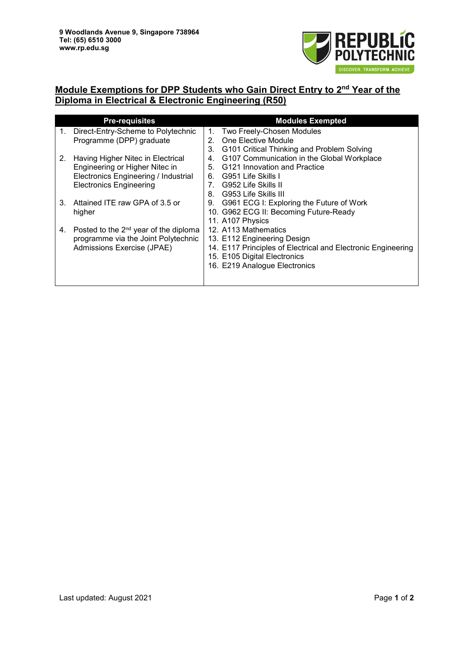

## **Module Exemptions for DPP Students who Gain Direct Entry to 2nd Year of the Diploma in Electrical & Electronic Engineering (R50)**

|    | <b>Pre-requisites</b>                   |                                | <b>Modules Exempted</b>                                      |
|----|-----------------------------------------|--------------------------------|--------------------------------------------------------------|
| 1. | Direct-Entry-Scheme to Polytechnic      | 1.                             | Two Freely-Chosen Modules                                    |
|    | Programme (DPP) graduate                | 2.                             | One Elective Module                                          |
|    |                                         | 3.                             | G101 Critical Thinking and Problem Solving                   |
| 2. | Having Higher Nitec in Electrical       | 4.                             | G107 Communication in the Global Workplace                   |
|    | Engineering or Higher Nitec in          | 5.                             | G121 Innovation and Practice                                 |
|    | Electronics Engineering / Industrial    | 6.                             | G951 Life Skills I                                           |
|    | <b>Electronics Engineering</b>          | $7_{\scriptscriptstyle{\sim}}$ | G952 Life Skills II                                          |
|    |                                         | 8.                             | - G953 Life Skills III                                       |
| 3. | Attained ITE raw GPA of 3.5 or          | 9.                             | G961 ECG I: Exploring the Future of Work                     |
|    | higher                                  |                                | 10. G962 ECG II: Becoming Future-Ready                       |
|    |                                         |                                | 11. A107 Physics                                             |
| 4. | Posted to the $2nd$ year of the diploma |                                | 12. A113 Mathematics                                         |
|    | programme via the Joint Polytechnic     |                                | 13. E112 Engineering Design                                  |
|    | Admissions Exercise (JPAE)              |                                | 14. E117 Principles of Electrical and Electronic Engineering |
|    |                                         |                                | 15. E105 Digital Electronics                                 |
|    |                                         |                                | 16. E219 Analogue Electronics                                |
|    |                                         |                                |                                                              |
|    |                                         |                                |                                                              |